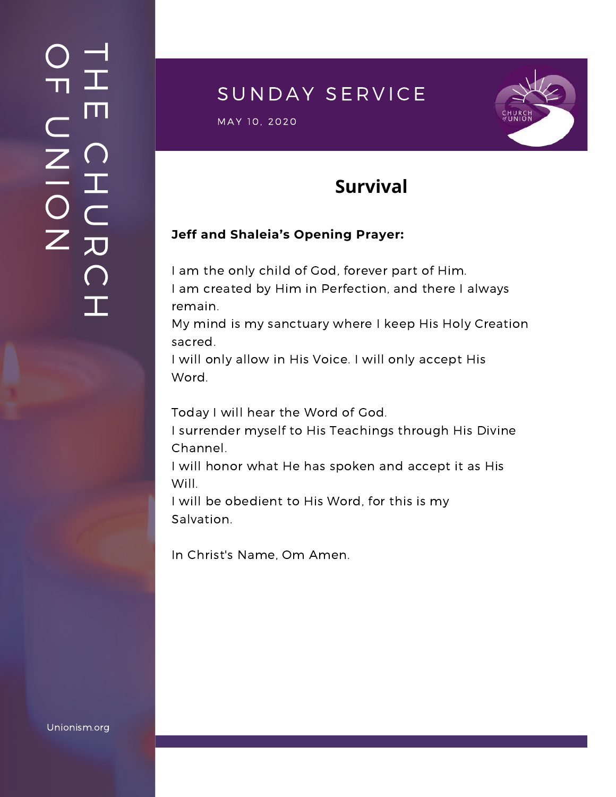### $\overline{\phantom{a}}$ H m.  $\bigcap$ H  $\subset$ 刀  $\bigcap$  $\mathbf{I}$  .  $\bigcirc$  $\blacksquare$  $\subset$  $\mathsf{Z}^+$ <u>In the Second Contract of the Second Contract of the International Second Contract of the International Second Contract of the International Second Contract of the International Second Contract of the International Second</u>  $\bigcirc$  $\mathsf{Z}^+$

## SUNDAY SERVICE

 $\mathsf{MAX}$  10, 2020 in the set  $\mathsf{MAX}$ 



# **Survival**

#### **Jeff and Shaleia's Opening Prayer:**

I am the only child of God, forever part of Him. I am created by Him in Perfection, and there I always remain.

My mind is my sanctuary where I keep His Holy Creation sacred.

I will only allow in His Voice. I will only accept His Word.

Today I will hear the Word of God.

I surrender myself to His Teachings through His Divine Channel.

I will honor what He has spoken and accept it as His Will.

I will be obedient to His Word, for this is my Salvation.

In Christ's Name, Om Amen.